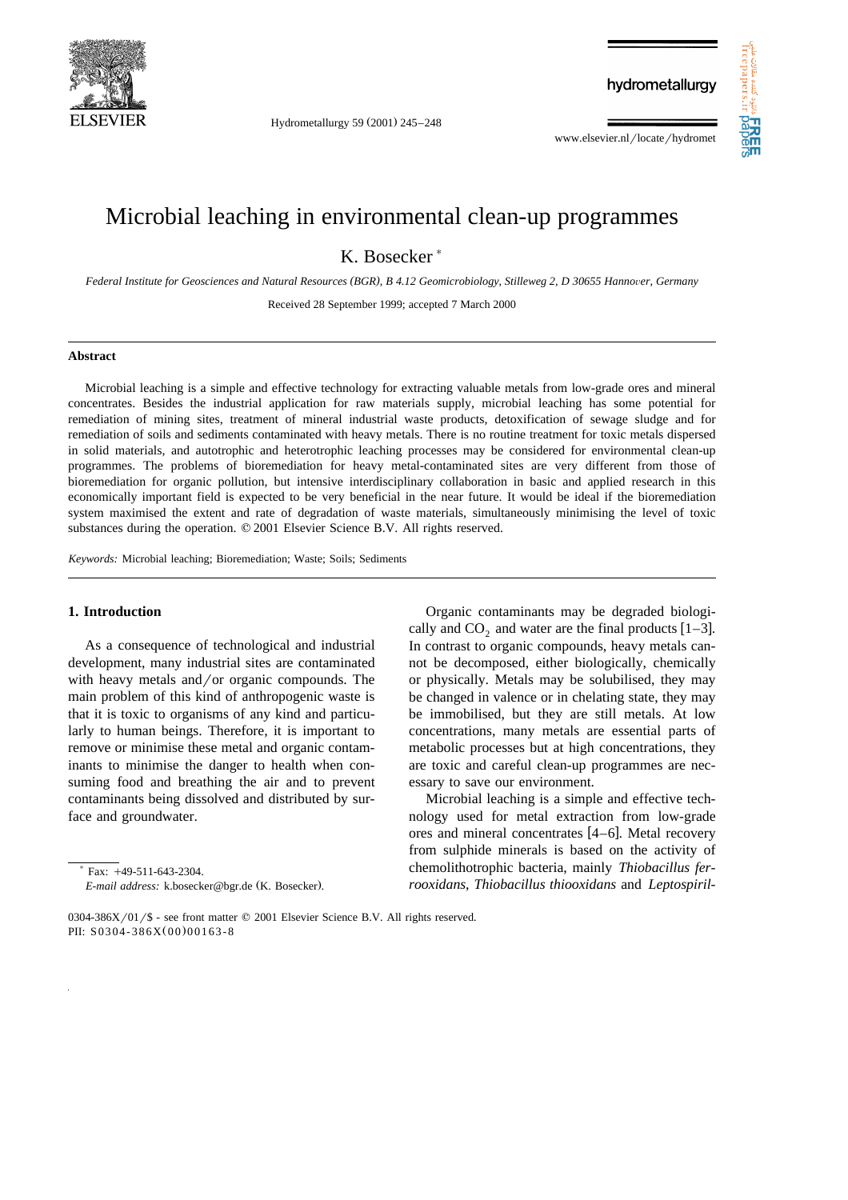

Hydrometallurgy 59 (2001) 245-248

www.elsevier.nl/locate/hydromet

# Microbial leaching in environmental clean-up programmes

K. Bosecker<sup>\*</sup>

*Federal Institute for Geosciences and Natural Resources BGR , B 4.12 Geomicrobiology, Stilleweg 2, D 30655 Hanno ( )* Õ*er, Germany*

Received 28 September 1999; accepted 7 March 2000

#### **Abstract**

Microbial leaching is a simple and effective technology for extracting valuable metals from low-grade ores and mineral concentrates. Besides the industrial application for raw materials supply, microbial leaching has some potential for remediation of mining sites, treatment of mineral industrial waste products, detoxification of sewage sludge and for remediation of soils and sediments contaminated with heavy metals. There is no routine treatment for toxic metals dispersed in solid materials, and autotrophic and heterotrophic leaching processes may be considered for environmental clean-up programmes. The problems of bioremediation for heavy metal-contaminated sites are very different from those of bioremediation for organic pollution, but intensive interdisciplinary collaboration in basic and applied research in this economically important field is expected to be very beneficial in the near future. It would be ideal if the bioremediation system maximised the extent and rate of degradation of waste materials, simultaneously minimising the level of toxic substances during the operation.  $© 2001$  Elsevier Science B.V. All rights reserved.

*Keywords:* Microbial leaching; Bioremediation; Waste; Soils; Sediments

### **1. Introduction**

As a consequence of technological and industrial development, many industrial sites are contaminated with heavy metals and/or organic compounds. The main problem of this kind of anthropogenic waste is that it is toxic to organisms of any kind and particularly to human beings. Therefore, it is important to remove or minimise these metal and organic contaminants to minimise the danger to health when consuming food and breathing the air and to prevent contaminants being dissolved and distributed by surface and groundwater.

Organic contaminants may be degraded biologically and  $CO<sub>2</sub>$  and water are the final products  $[1-3]$ . In contrast to organic compounds, heavy metals cannot be decomposed, either biologically, chemically or physically. Metals may be solubilised, they may be changed in valence or in chelating state, they may be immobilised, but they are still metals. At low concentrations, many metals are essential parts of metabolic processes but at high concentrations, they are toxic and careful clean-up programmes are necessary to save our environment.

Microbial leaching is a simple and effective technology used for metal extraction from low-grade ores and mineral concentrates  $[4-6]$ . Metal recovery from sulphide minerals is based on the activity of chemolithotrophic bacteria, mainly *Thiobacillus ferrooxidans*, *Thiobacillus thiooxidans* and *Leptospiril*-

Fax: +49-511-643-2304.

*E-mail address:* k.bosecker@bgr.de (K. Bosecker).

<sup>0304-386</sup>X/01/\$ - see front matter  $\odot$  2001 Elsevier Science B.V. All rights reserved. PII: S0304-386X(00)00163-8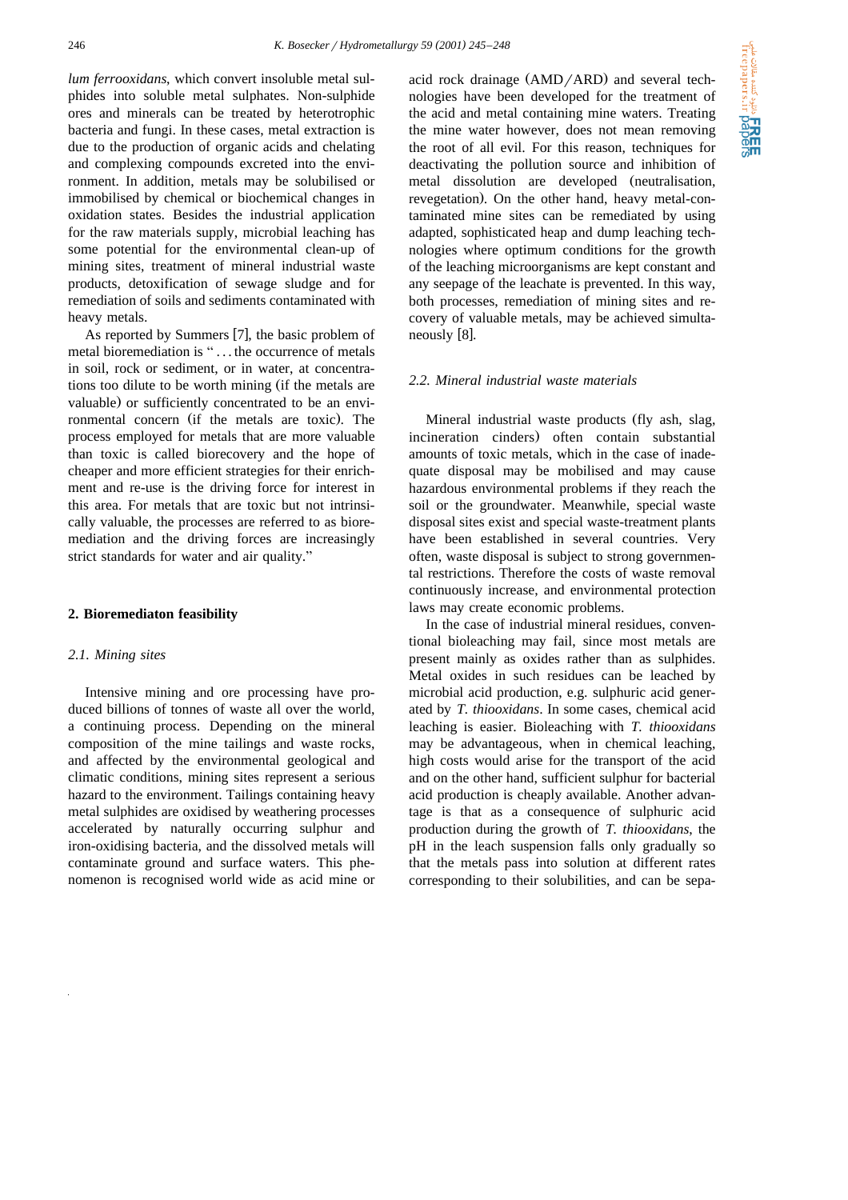*lum ferrooxidans*, which convert insoluble metal sulphides into soluble metal sulphates. Non-sulphide ores and minerals can be treated by heterotrophic bacteria and fungi. In these cases, metal extraction is due to the production of organic acids and chelating and complexing compounds excreted into the environment. In addition, metals may be solubilised or immobilised by chemical or biochemical changes in oxidation states. Besides the industrial application for the raw materials supply, microbial leaching has some potential for the environmental clean-up of mining sites, treatment of mineral industrial waste products, detoxification of sewage sludge and for remediation of soils and sediments contaminated with heavy metals.

As reported by Summers  $[7]$ , the basic problem of metal bioremediation is "... the occurrence of metals in soil, rock or sediment, or in water, at concentrations too dilute to be worth mining (if the metals are valuable) or sufficiently concentrated to be an environmental concern (if the metals are toxic). The process employed for metals that are more valuable than toxic is called biorecovery and the hope of cheaper and more efficient strategies for their enrichment and re-use is the driving force for interest in this area. For metals that are toxic but not intrinsically valuable, the processes are referred to as bioremediation and the driving forces are increasingly strict standards for water and air quality."

#### **2. Bioremediaton feasibility**

#### *2.1. Mining sites*

Intensive mining and ore processing have produced billions of tonnes of waste all over the world, a continuing process. Depending on the mineral composition of the mine tailings and waste rocks, and affected by the environmental geological and climatic conditions, mining sites represent a serious hazard to the environment. Tailings containing heavy metal sulphides are oxidised by weathering processes accelerated by naturally occurring sulphur and iron-oxidising bacteria, and the dissolved metals will contaminate ground and surface waters. This phenomenon is recognised world wide as acid mine or acid rock drainage  $(AMD/ARD)$  and several technologies have been developed for the treatment of the acid and metal containing mine waters. Treating the mine water however, does not mean removing the root of all evil. For this reason, techniques for deactivating the pollution source and inhibition of metal dissolution are developed (neutralisation, revegetation). On the other hand, heavy metal-contaminated mine sites can be remediated by using adapted, sophisticated heap and dump leaching technologies where optimum conditions for the growth of the leaching microorganisms are kept constant and any seepage of the leachate is prevented. In this way, both processes, remediation of mining sites and recovery of valuable metals, may be achieved simultaneously  $[8]$ .

#### *2.2. Mineral industrial waste materials*

Mineral industrial waste products (fly ash, slag, incineration cinders) often contain substantial amounts of toxic metals, which in the case of inadequate disposal may be mobilised and may cause hazardous environmental problems if they reach the soil or the groundwater. Meanwhile, special waste disposal sites exist and special waste-treatment plants have been established in several countries. Very often, waste disposal is subject to strong governmental restrictions. Therefore the costs of waste removal continuously increase, and environmental protection laws may create economic problems.

In the case of industrial mineral residues, conventional bioleaching may fail, since most metals are present mainly as oxides rather than as sulphides. Metal oxides in such residues can be leached by microbial acid production, e.g. sulphuric acid generated by *T. thiooxidans*. In some cases, chemical acid leaching is easier. Bioleaching with *T. thiooxidans* may be advantageous, when in chemical leaching, high costs would arise for the transport of the acid and on the other hand, sufficient sulphur for bacterial acid production is cheaply available. Another advantage is that as a consequence of sulphuric acid production during the growth of *T. thiooxidans*, the pH in the leach suspension falls only gradually so that the metals pass into solution at different rates corresponding to their solubilities, and can be sepa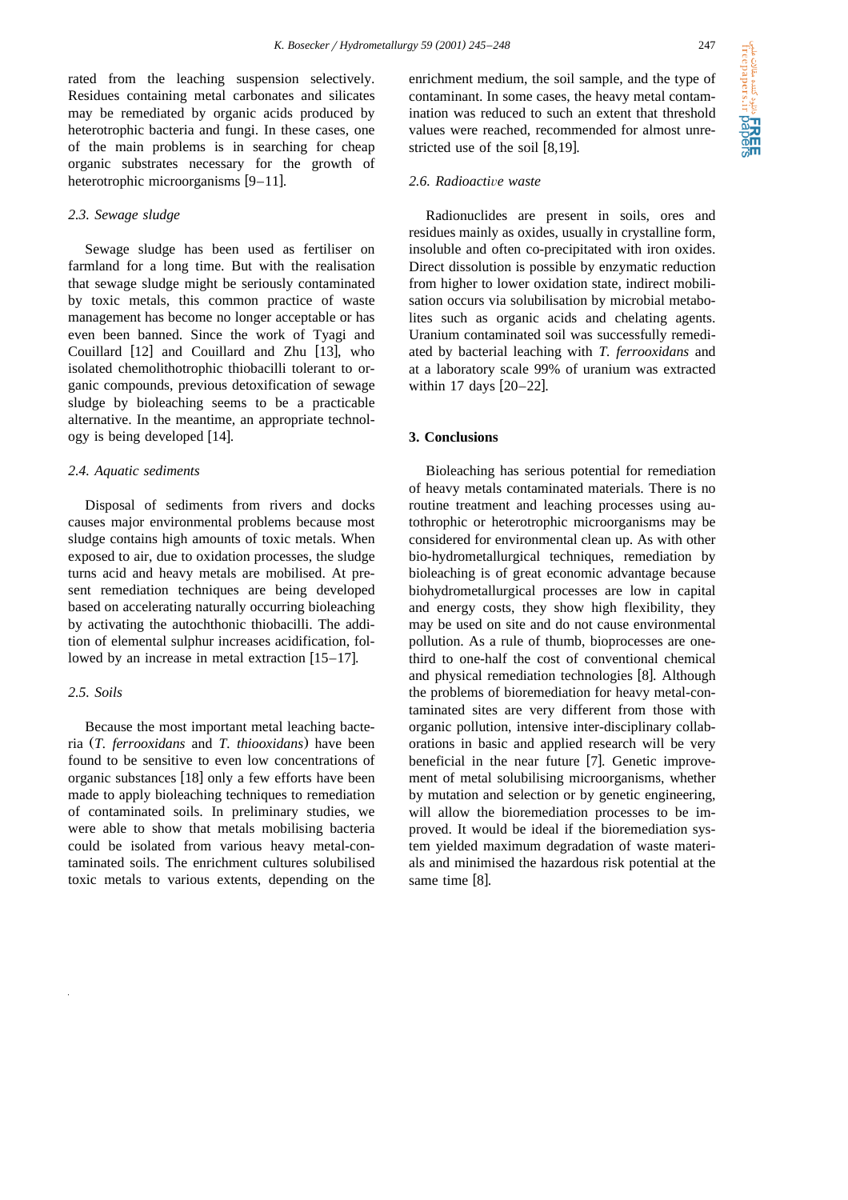rated from the leaching suspension selectively. Residues containing metal carbonates and silicates may be remediated by organic acids produced by heterotrophic bacteria and fungi. In these cases, one of the main problems is in searching for cheap organic substrates necessary for the growth of heterotrophic microorganisms  $[9-11]$ .

## *2.3. Sewage sludge*

Sewage sludge has been used as fertiliser on farmland for a long time. But with the realisation that sewage sludge might be seriously contaminated by toxic metals, this common practice of waste management has become no longer acceptable or has even been banned. Since the work of Tyagi and Couillard [12] and Couillard and Zhu [13], who isolated chemolithotrophic thiobacilli tolerant to organic compounds, previous detoxification of sewage sludge by bioleaching seems to be a practicable alternative. In the meantime, an appropriate technology is being developed [14].

# *2.4. Aquatic sediments*

Disposal of sediments from rivers and docks causes major environmental problems because most sludge contains high amounts of toxic metals. When exposed to air, due to oxidation processes, the sludge turns acid and heavy metals are mobilised. At present remediation techniques are being developed based on accelerating naturally occurring bioleaching by activating the autochthonic thiobacilli. The addition of elemental sulphur increases acidification, followed by an increase in metal extraction  $[15-17]$ .

### *2.5. Soils*

Because the most important metal leaching bacteria (*T. ferrooxidans* and *T. thiooxidans*) have been found to be sensitive to even low concentrations of organic substances [18] only a few efforts have been made to apply bioleaching techniques to remediation of contaminated soils. In preliminary studies, we were able to show that metals mobilising bacteria could be isolated from various heavy metal-contaminated soils. The enrichment cultures solubilised toxic metals to various extents, depending on the

enrichment medium, the soil sample, and the type of contaminant. In some cases, the heavy metal contamination was reduced to such an extent that threshold values were reached, recommended for almost unrestricted use of the soil [8,19].

# *2.6. Radioacti*Õ*e waste*

Radionuclides are present in soils, ores and residues mainly as oxides, usually in crystalline form, insoluble and often co-precipitated with iron oxides. Direct dissolution is possible by enzymatic reduction from higher to lower oxidation state, indirect mobilisation occurs via solubilisation by microbial metabolites such as organic acids and chelating agents. Uranium contaminated soil was successfully remediated by bacterial leaching with *T. ferrooxidans* and at a laboratory scale 99% of uranium was extracted within  $17 \text{ days}$   $[20-22]$ .

# **3. Conclusions**

Bioleaching has serious potential for remediation of heavy metals contaminated materials. There is no routine treatment and leaching processes using autothrophic or heterotrophic microorganisms may be considered for environmental clean up. As with other bio-hydrometallurgical techniques, remediation by bioleaching is of great economic advantage because biohydrometallurgical processes are low in capital and energy costs, they show high flexibility, they may be used on site and do not cause environmental pollution. As a rule of thumb, bioprocesses are onethird to one-half the cost of conventional chemical and physical remediation technologies [8]. Although the problems of bioremediation for heavy metal-contaminated sites are very different from those with organic pollution, intensive inter-disciplinary collaborations in basic and applied research will be very beneficial in the near future  $[7]$ . Genetic improvement of metal solubilising microorganisms, whether by mutation and selection or by genetic engineering, will allow the bioremediation processes to be improved. It would be ideal if the bioremediation system yielded maximum degradation of waste materials and minimised the hazardous risk potential at the same time [8].